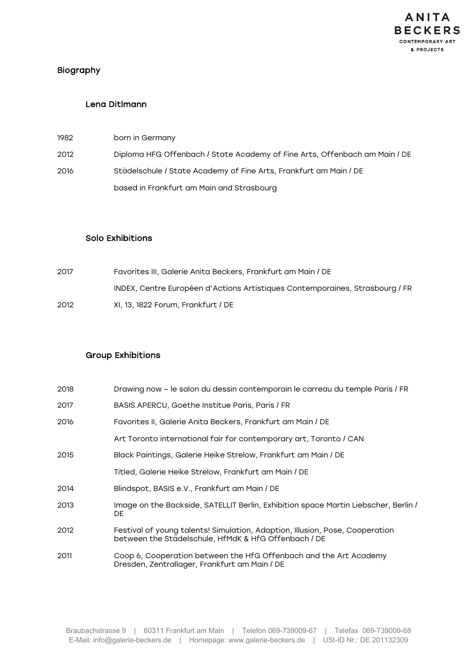

# Biography

#### Lena Ditlmann

| 1982 | born in Germany                                                            |
|------|----------------------------------------------------------------------------|
| 2012 | Diploma HFG Offenbach / State Academy of Fine Arts, Offenbach am Main / DE |
| 2016 | Städelschule / State Academy of Fine Arts, Frankfurt am Main / DE          |
|      | based in Frankfurt am Main and Strasbourg                                  |

#### Solo Exhibitions

| 2017 | Favorites III. Galerie Anita Beckers. Frankfurt am Main / DE                 |
|------|------------------------------------------------------------------------------|
|      | INDEX, Centre Européen d'Actions Artistiques Contemporaines, Strasbourg / FR |
| 2012 | XI, 13, 1822 Forum, Frankfurt / DE                                           |

## Group Exhibitions

| 2018 | Drawing now - le salon du dessin contemporain le carreau du temple Paris / FR                                                        |
|------|--------------------------------------------------------------------------------------------------------------------------------------|
| 2017 | BASIS.APERCU, Goethe Institue Paris, Paris / FR                                                                                      |
| 2016 | Favorites II, Galerie Anita Beckers, Frankfurt am Main / DE                                                                          |
|      | Art Toronto international fair for contemporary art, Toronto / CAN                                                                   |
| 2015 | Black Paintings, Galerie Heike Strelow, Frankfurt am Main / DE                                                                       |
|      | Titled, Galerie Heike Strelow, Frankfurt am Main / DE                                                                                |
| 2014 | Blindspot, BASIS e.V., Frankfurt am Main / DE                                                                                        |
| 2013 | Image on the Backside, SATELLIT Berlin, Exhibition space Martin Liebscher, Berlin /<br>DE                                            |
| 2012 | Festival of young talents! Simulation, Adaption, Illusion, Pose, Cooperation<br>between the Städelschule, HfMdK & HfG Offenbach / DE |
| 2011 | Coop 6, Cooperation between the HfG Offenbach and the Art Academy<br>Dresden, Zentrallager, Frankfurt am Main / DE                   |